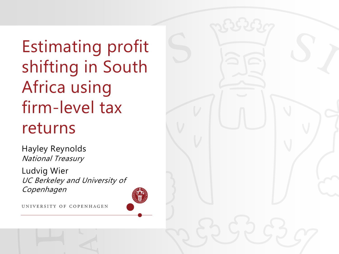Estimating profit shifting in South Africa using firm-level tax returns

Hayley Reynolds National Treasury

Ludvig Wier UC Berkeley and University of Copenhagen

UNIVERSITY OF COPENHAGEN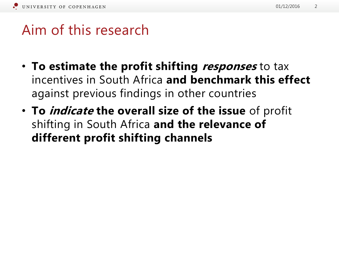#### Aim of this research

- **To estimate the profit shifting responses** to tax incentives in South Africa **and benchmark this effect**  against previous findings in other countries
- **To indicate the overall size of the issue** of profit shifting in South Africa **and the relevance of different profit shifting channels**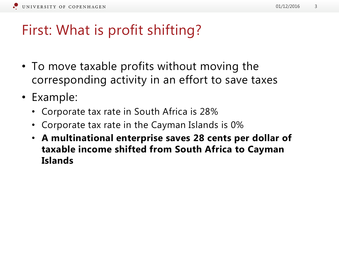#### First: What is profit shifting?

- To move taxable profits without moving the corresponding activity in an effort to save taxes
- Example:
	- Corporate tax rate in South Africa is 28%
	- Corporate tax rate in the Cayman Islands is 0%
	- **A multinational enterprise saves 28 cents per dollar of taxable income shifted from South Africa to Cayman Islands**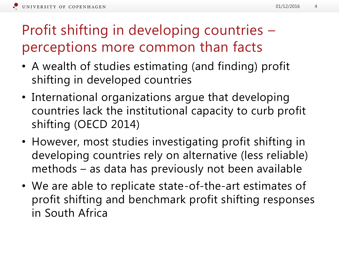# Profit shifting in developing countries – perceptions more common than facts

- A wealth of studies estimating (and finding) profit shifting in developed countries
- International organizations argue that developing countries lack the institutional capacity to curb profit shifting (OECD 2014)
- However, most studies investigating profit shifting in developing countries rely on alternative (less reliable) methods – as data has previously not been available
- We are able to replicate state-of-the-art estimates of profit shifting and benchmark profit shifting responses in South Africa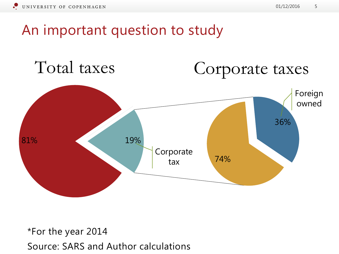An important question to study



\*For the year 2014 Source: SARS and Author calculations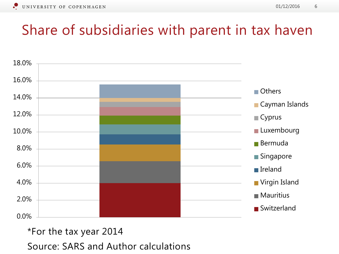#### Share of subsidiaries with parent in tax haven



#### \*For the tax year 2014

Source: SARS and Author calculations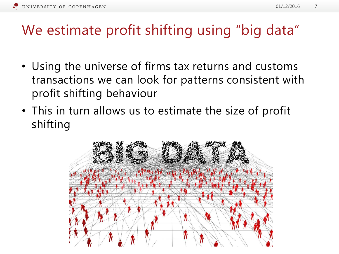#### We estimate profit shifting using "big data"

- Using the universe of firms tax returns and customs transactions we can look for patterns consistent with profit shifting behaviour
- This in turn allows us to estimate the size of profit shifting

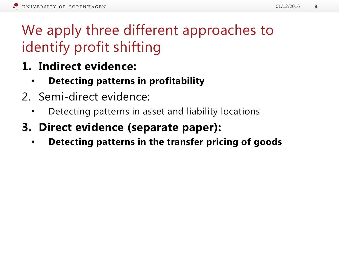# We apply three different approaches to identify profit shifting

- **1. Indirect evidence:** 
	- **Detecting patterns in profitability**
- 2. Semi-direct evidence:
	- Detecting patterns in asset and liability locations
- **3. Direct evidence (separate paper):**
	- **Detecting patterns in the transfer pricing of goods**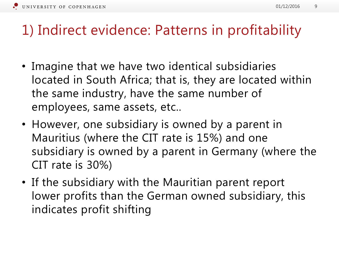#### 01/12/2016 9

#### 1) Indirect evidence: Patterns in profitability

- Imagine that we have two identical subsidiaries located in South Africa; that is, they are located within the same industry, have the same number of employees, same assets, etc..
- However, one subsidiary is owned by a parent in Mauritius (where the CIT rate is 15%) and one subsidiary is owned by a parent in Germany (where the CIT rate is 30%)
- If the subsidiary with the Mauritian parent report lower profits than the German owned subsidiary, this indicates profit shifting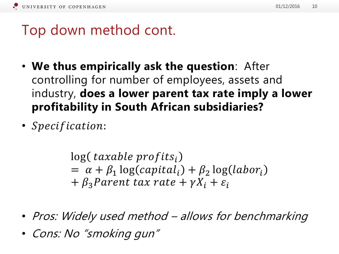## Top down method cont.

- **We thus empirically ask the question**: After controlling for number of employees, assets and industry, **does a lower parent tax rate imply a lower profitability in South African subsidiaries?**
- Specification:

 $log(taxable\text{ }profits_i)$  $= \alpha + \beta_1 \log(capital_i) + \beta_2 \log(labor_i)$  $+ \beta_3$  Parent tax rate  $+ \gamma X_i + \varepsilon_i$ 

- Pros: Widely used method allows for benchmarking
- Cons: No "smoking gun"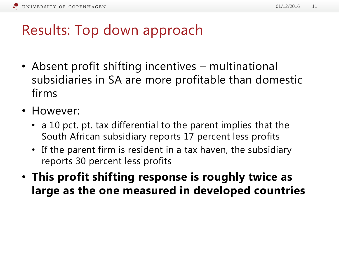#### Results: Top down approach

- Absent profit shifting incentives multinational subsidiaries in SA are more profitable than domestic firms
- However:
	- a 10 pct. pt. tax differential to the parent implies that the South African subsidiary reports 17 percent less profits
	- If the parent firm is resident in a tax haven, the subsidiary reports 30 percent less profits
- **This profit shifting response is roughly twice as large as the one measured in developed countries**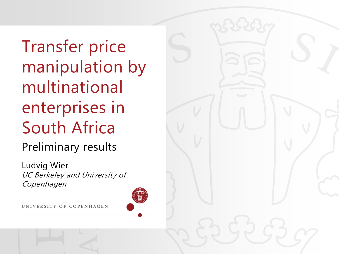Transfer price manipulation by multinational enterprises in South Africa

Preliminary results

Ludvig Wier UC Berkeley and University of Copenhagen

UNIVERSITY OF COPENHAGEN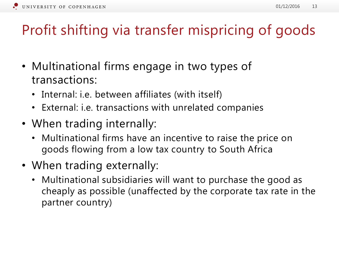# Profit shifting via transfer mispricing of goods

- Multinational firms engage in two types of transactions:
	- Internal: i.e. between affiliates (with itself)
	- External: i.e. transactions with unrelated companies
- When trading internally:
	- Multinational firms have an incentive to raise the price on goods flowing from a low tax country to South Africa
- When trading externally:
	- Multinational subsidiaries will want to purchase the good as cheaply as possible (unaffected by the corporate tax rate in the partner country)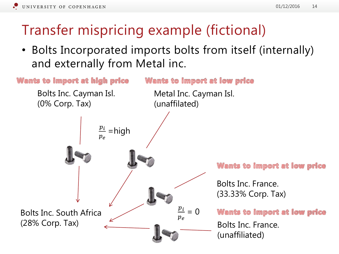# Transfer mispricing example (fictional)

• Bolts Incorporated imports bolts from itself (internally) and externally from Metal inc.

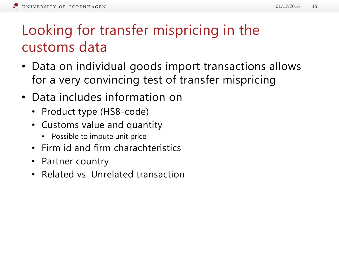# Looking for transfer mispricing in the customs data

- Data on individual goods import transactions allows for a very convincing test of transfer mispricing
- Data includes information on
	- Product type (HS8-code)
	- Customs value and quantity
		- Possible to impute unit price
	- Firm id and firm charachteristics
	- Partner country
	- Related vs. Unrelated transaction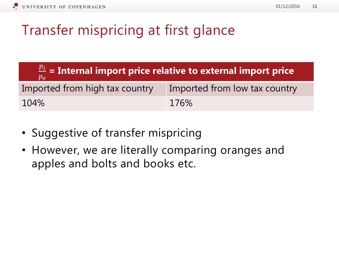## Transfer mispricing at first glance

| $\frac{p_i}{p_e}$ = Internal import price relative to external import price |                               |
|-----------------------------------------------------------------------------|-------------------------------|
| Imported from high tax country                                              | Imported from low tax country |
| 104%                                                                        | 176%                          |

- Suggestive of transfer mispricing
- However, we are literally comparing oranges and apples and bolts and books etc.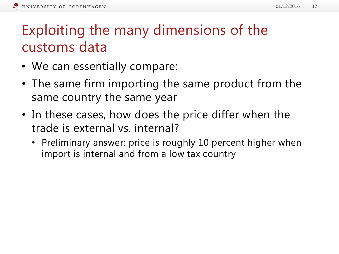#### Exploiting the many dimensions of the customs data

- We can essentially compare:
- The same firm importing the same product from the same country the same year
- In these cases, how does the price differ when the trade is external vs. internal?
	- Preliminary answer: price is roughly 10 percent higher when import is internal and from a low tax country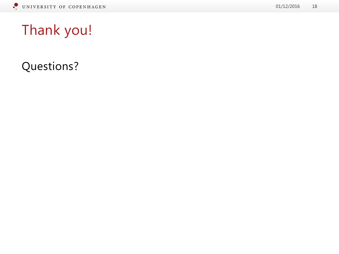Questions?